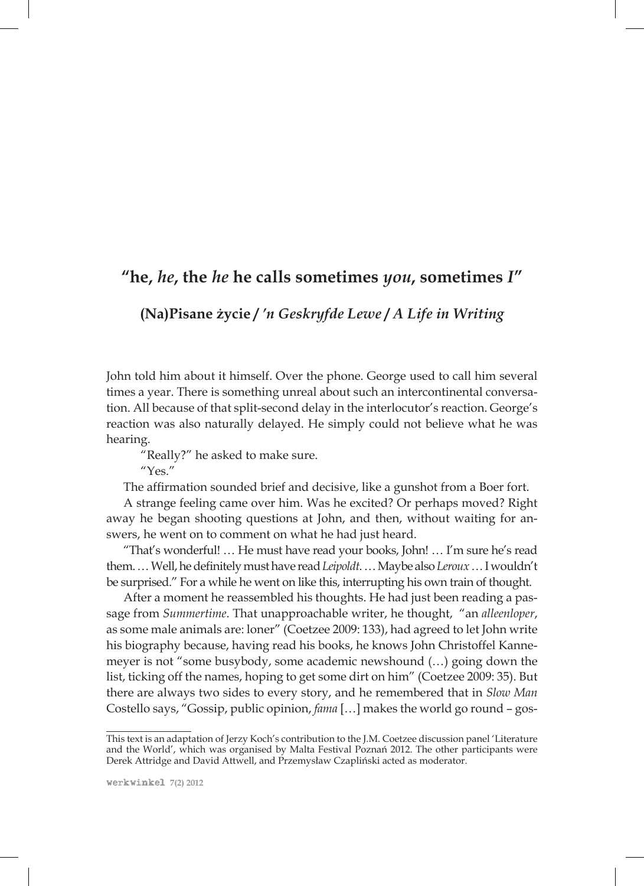## **"he,** *he***, the** *he* **he calls sometimes** *you***, sometimes** *I***"**

**(Na)Pisane życie /** *'n Geskryfde Lewe* **/** *A Life in Writing*

John told him about it himself. Over the phone. George used to call him several times a year. There is something unreal about such an intercontinental conversation. All because of that split-second delay in the interlocutor's reaction. George's reaction was also naturally delayed. He simply could not believe what he was hearing.

"Really?" he asked to make sure.

 $^{\prime\prime}$ Yes<sup>"</sup>

The affirmation sounded brief and decisive, like a gunshot from a Boer fort.

A strange feeling came over him. Was he excited? Or perhaps moved? Right away he began shooting questions at John, and then, without waiting for answers, he went on to comment on what he had just heard.

"That's wonderful! … He must have read your books, John! … I'm sure he's read them. … Well, he definitely must have read *Leipoldt*. … Maybe also *Leroux* … I wouldn't be surprised." For a while he went on like this, interrupting his own train of thought.

After a moment he reassembled his thoughts. He had just been reading a passage from *Summertime*. That unapproachable writer, he thought, "an *alleenloper*, as some male animals are: loner" (Coetzee 2009: 133), had agreed to let John write his biography because, having read his books, he knows John Christoffel Kannemeyer is not "some busybody, some academic newshound (…) going down the list, ticking off the names, hoping to get some dirt on him" (Coetzee 2009: 35). But there are always two sides to every story, and he remembered that in *Slow Man* Costello says, "Gossip, public opinion, *fama* […] makes the world go round – gos-

This text is an adaptation of Jerzy Koch's contribution to the J.M. Coetzee discussion panel 'Literature and the World', which was organised by Malta Festival Poznań 2012. The other participants were Derek Attridge and David Attwell, and Przemysław Czapliński acted as moderator.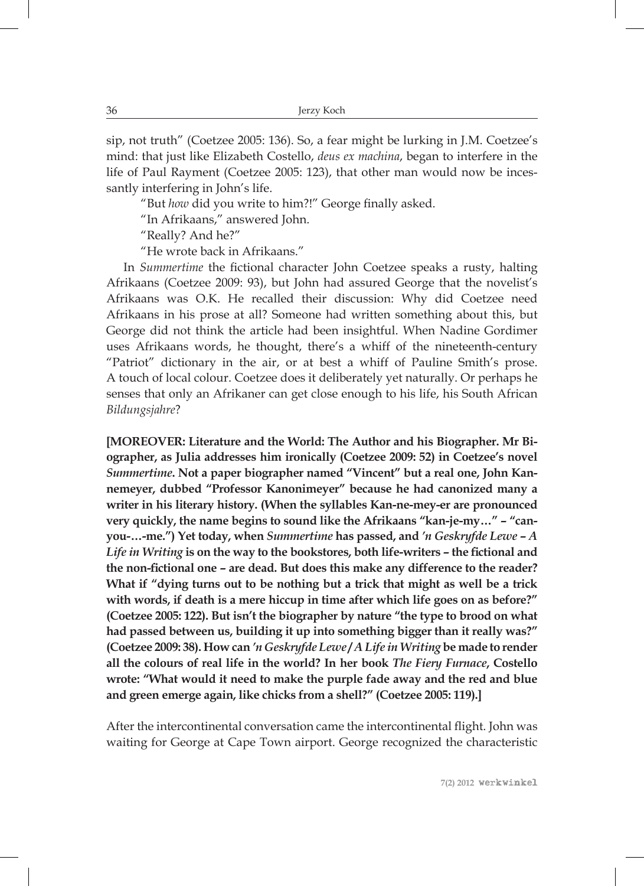sip, not truth" (Coetzee 2005: 136). So, a fear might be lurking in J.M. Coetzee's mind: that just like Elizabeth Costello, *deus ex machina*, began to interfere in the life of Paul Rayment (Coetzee 2005: 123), that other man would now be incessantly interfering in John's life.

"But *how* did you write to him?!" George finally asked.

"In Afrikaans," answered John.

"Really? And he?"

"He wrote back in Afrikaans."

In *Summertime* the fictional character John Coetzee speaks a rusty, halting Afrikaans (Coetzee 2009: 93), but John had assured George that the novelist's Afrikaans was O.K. He recalled their discussion: Why did Coetzee need Afrikaans in his prose at all? Someone had written something about this, but George did not think the article had been insightful. When Nadine Gordimer uses Afrikaans words, he thought, there's a whiff of the nineteenth-century "Patriot" dictionary in the air, or at best a whiff of Pauline Smith's prose. A touch of local colour. Coetzee does it deliberately yet naturally. Or perhaps he senses that only an Afrikaner can get close enough to his life, his South African *Bildungsjahre*?

**[MOREOVER: Literature and the World: The Author and his Biographer. Mr Biographer, as Julia addresses him ironically (Coetzee 2009: 52) in Coetzee's novel**  *Summertime***. Not a paper biographer named "Vincent" but a real one, John Kannemeyer, dubbed "Professor Kanonimeyer" because he had canonized many a writer in his literary history. (When the syllables Kan-ne-mey-er are pronounced very quickly, the name begins to sound like the Afrikaans "kan-je-my…" – "canyou-…-me.") Yet today, when** *Summertime* **has passed, and** *'n Geskryfde Lewe* **–** *A Life in Writing* **is on the way to the bookstores, both life-writers – the fictional and the non-fictional one – are dead. But does this make any difference to the reader? What if "dying turns out to be nothing but a trick that might as well be a trick with words, if death is a mere hiccup in time after which life goes on as before?" (Coetzee 2005: 122). But isn't the biographer by nature "the type to brood on what had passed between us, building it up into something bigger than it really was?" (Coetzee 2009: 38). How can** *'n Geskryfde Lewe* **/** *A Life in Writing* **be made to render all the colours of real life in the world? In her book** *The Fiery Furnace***, Costello wrote: "What would it need to make the purple fade away and the red and blue and green emerge again, like chicks from a shell?" (Coetzee 2005: 119).]**

After the intercontinental conversation came the intercontinental flight. John was waiting for George at Cape Town airport. George recognized the characteristic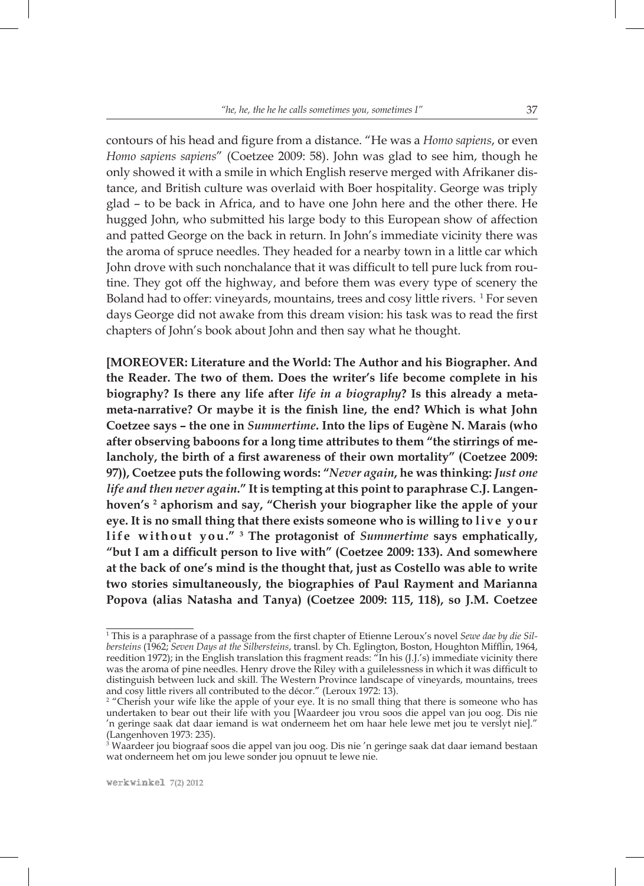contours of his head and figure from a distance. "He was a *Homo sapiens*, or even *Homo sapiens sapiens*" (Coetzee 2009: 58). John was glad to see him, though he only showed it with a smile in which English reserve merged with Afrikaner distance, and British culture was overlaid with Boer hospitality. George was triply glad – to be back in Africa, and to have one John here and the other there. He hugged John, who submitted his large body to this European show of affection and patted George on the back in return. In John's immediate vicinity there was the aroma of spruce needles. They headed for a nearby town in a little car which John drove with such nonchalance that it was difficult to tell pure luck from routine. They got off the highway, and before them was every type of scenery the Boland had to offer: vineyards, mountains, trees and cosy little rivers. <sup>1</sup> For seven days George did not awake from this dream vision: his task was to read the first chapters of John's book about John and then say what he thought.

**[MOREOVER: Literature and the World: The Author and his Biographer. And the Reader. The two of them. Does the writer's life become complete in his biography? Is there any life after** *life in a biography***? Is this already a metameta-narrative? Or maybe it is the finish line, the end? Which is what John Coetzee says – the one in** *Summertime***. Into the lips of Eugène N. Marais (who after observing baboons for a long time attributes to them "the stirrings of melancholy, the birth of a first awareness of their own mortality" (Coetzee 2009: 97)), Coetzee puts the following words: "***Never again***, he was thinking:** *Just one life and then never again***." It is tempting at this point to paraphrase C.J. Langenhoven's 2 aphorism and say, "Cherish your biographer like the apple of your**  eye. It is no small thing that there exists someone who is willing to live your life without you."<sup>3</sup> The protagonist of *Summertime* says emphatically, **"but I am a difficult person to live with" (Coetzee 2009: 133). And somewhere at the back of one's mind is the thought that, just as Costello was able to write two stories simultaneously, the biographies of Paul Rayment and Marianna Popova (alias Natasha and Tanya) (Coetzee 2009: 115, 118), so J.M. Coetzee** 

<sup>1</sup> This is a paraphrase of a passage from the first chapter of Etienne Leroux's novel *Sewe dae by die Silbersteins* (1962; *Seven Days at the Silbersteins*, transl. by Ch. Eglington, Boston, Houghton Mifflin, 1964, reedition 1972); in the English translation this fragment reads: "In his (J.J.'s) immediate vicinity there was the aroma of pine needles. Henry drove the Riley with a guilelessness in which it was difficult to distinguish between luck and skill. The Western Province landscape of vineyards, mountains, trees

and cosy little rivers all contributed to the décor." (Leroux 1972: 13).<br><sup>2</sup> "Cherish your wife like the apple of your eye. It is no small thing that there is someone who has undertaken to bear out their life with you [Waardeer jou vrou soos die appel van jou oog. Dis nie 'n geringe saak dat daar iemand is wat onderneem het om haar hele lewe met jou te verslyt nie]." (Langenhoven 1973: 235).

<sup>3</sup> Waardeer jou biograaf soos die appel van jou oog. Dis nie 'n geringe saak dat daar iemand bestaan wat onderneem het om jou lewe sonder jou opnuut te lewe nie.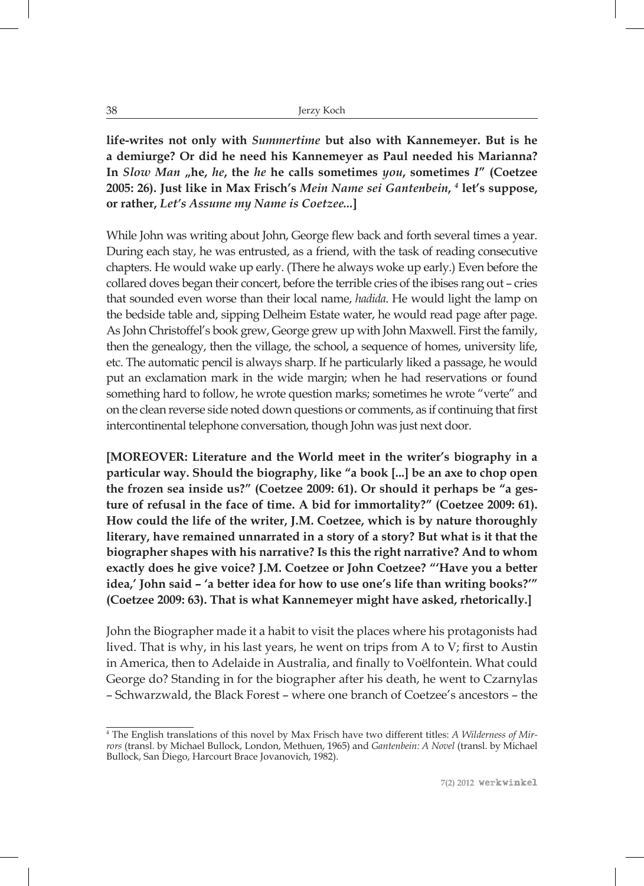**life-writes not only with** *Summertime* **but also with Kannemeyer. But is he a demiurge? Or did he need his Kannemeyer as Paul needed his Marianna? In** *Slow Man* **"he,** *he***, the** *he* **he calls sometimes** *you***, sometimes** *I***" (Coetzee 2005: 26). Just like in Max Frisch's** *Mein Name sei Gantenbein***,** *<sup>4</sup>*  **let's suppose, or rather,** *Let's Assume my Name is Coetzee...***]**

While John was writing about John, George flew back and forth several times a year. During each stay, he was entrusted, as a friend, with the task of reading consecutive chapters. He would wake up early. (There he always woke up early.) Even before the collared doves began their concert, before the terrible cries of the ibises rang out – cries that sounded even worse than their local name, *hadida*. He would light the lamp on the bedside table and, sipping Delheim Estate water, he would read page after page. As John Christoffel's book grew, George grew up with John Maxwell. First the family, then the genealogy, then the village, the school, a sequence of homes, university life, etc. The automatic pencil is always sharp. If he particularly liked a passage, he would put an exclamation mark in the wide margin; when he had reservations or found something hard to follow, he wrote question marks; sometimes he wrote "verte" and on the clean reverse side noted down questions or comments, as if continuing that first intercontinental telephone conversation, though John was just next door.

**[MOREOVER: Literature and the World meet in the writer's biography in a particular way. Should the biography, like "a book [...] be an axe to chop open the frozen sea inside us?" (Coetzee 2009: 61). Or should it perhaps be "a gesture of refusal in the face of time. A bid for immortality?" (Coetzee 2009: 61). How could the life of the writer, J.M. Coetzee, which is by nature thoroughly literary, have remained unnarrated in a story of a story? But what is it that the biographer shapes with his narrative? Is this the right narrative? And to whom exactly does he give voice? J.M. Coetzee or John Coetzee? "'Have you a better idea,' John said – 'a better idea for how to use one's life than writing books?'" (Coetzee 2009: 63). That is what Kannemeyer might have asked, rhetorically.]**

John the Biographer made it a habit to visit the places where his protagonists had lived. That is why, in his last years, he went on trips from A to V; first to Austin in America, then to Adelaide in Australia, and finally to Voëlfontein. What could George do? Standing in for the biographer after his death, he went to Czarnylas – Schwarzwald, the Black Forest – where one branch of Coetzee's ancestors – the

<sup>4</sup> The English translations of this novel by Max Frisch have two different titles: *A Wilderness of Mirrors* (transl. by Michael Bullock, London, Methuen, 1965) and *Gantenbein: A Novel* (transl. by Michael Bullock, San Diego, Harcourt Brace Jovanovich, 1982).